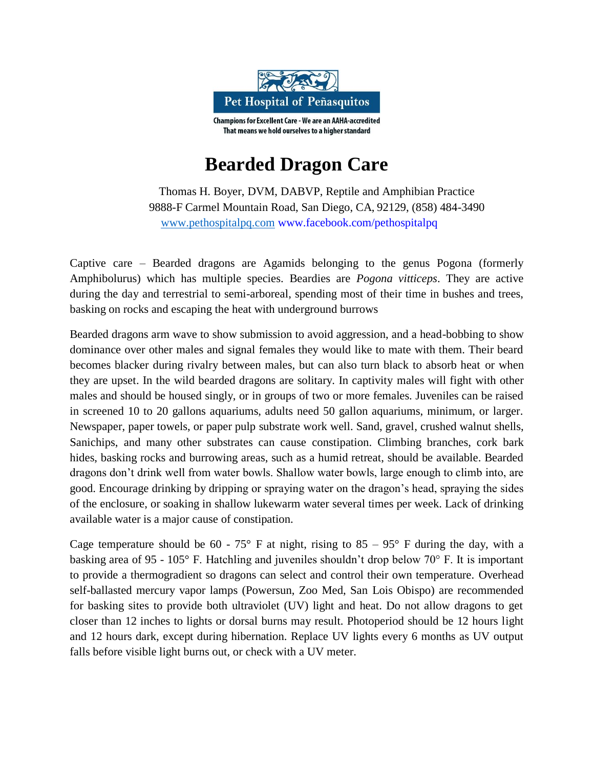

## **Bearded Dragon Care**

Thomas H. Boyer, DVM, DABVP, Reptile and Amphibian Practice 9888-F Carmel Mountain Road, San Diego, CA, 92129, (858) 484-3490 [www.pethospitalpq.com](http://www.pethospitalpq.com/) [www.facebook.com/pethospitalpq](http://www.facebook.com/pethospitalpq)

Captive care – Bearded dragons are Agamids belonging to the genus Pogona (formerly Amphibolurus) which has multiple species. Beardies are *Pogona vitticeps*. They are active during the day and terrestrial to semi-arboreal, spending most of their time in bushes and trees, basking on rocks and escaping the heat with underground burrows

Bearded dragons arm wave to show submission to avoid aggression, and a head-bobbing to show dominance over other males and signal females they would like to mate with them. Their beard becomes blacker during rivalry between males, but can also turn black to absorb heat or when they are upset. In the wild bearded dragons are solitary. In captivity males will fight with other males and should be housed singly, or in groups of two or more females. Juveniles can be raised in screened 10 to 20 gallons aquariums, adults need 50 gallon aquariums, minimum, or larger. Newspaper, paper towels, or paper pulp substrate work well. Sand, gravel, crushed walnut shells, Sanichips, and many other substrates can cause constipation. Climbing branches, cork bark hides, basking rocks and burrowing areas, such as a humid retreat, should be available. Bearded dragons don't drink well from water bowls. Shallow water bowls, large enough to climb into, are good. Encourage drinking by dripping or spraying water on the dragon's head, spraying the sides of the enclosure, or soaking in shallow lukewarm water several times per week. Lack of drinking available water is a major cause of constipation.

Cage temperature should be 60 - 75° F at night, rising to 85 - 95° F during the day, with a basking area of 95 - 105° F. Hatchling and juveniles shouldn't drop below 70° F. It is important to provide a thermogradient so dragons can select and control their own temperature. Overhead self-ballasted mercury vapor lamps (Powersun, Zoo Med, San Lois Obispo) are recommended for basking sites to provide both ultraviolet (UV) light and heat. Do not allow dragons to get closer than 12 inches to lights or dorsal burns may result. Photoperiod should be 12 hours light and 12 hours dark, except during hibernation. Replace UV lights every 6 months as UV output falls before visible light burns out, or check with a UV meter.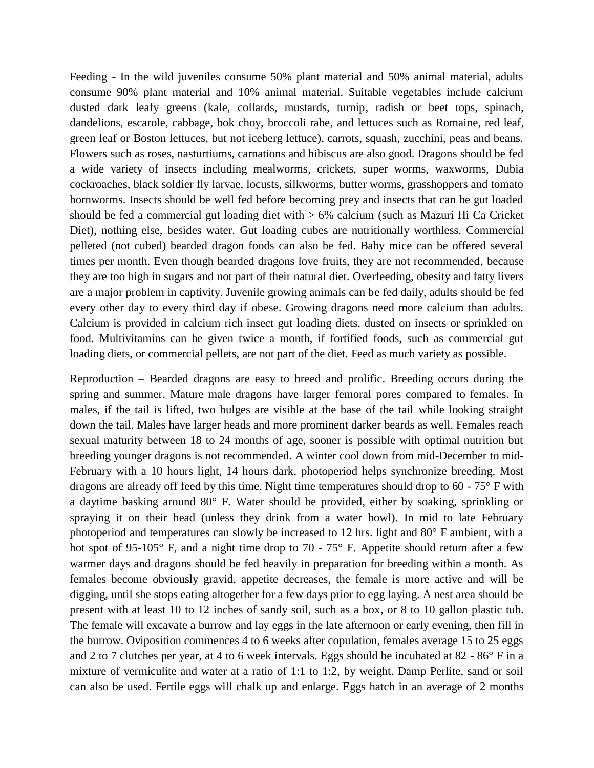Feeding - In the wild juveniles consume 50% plant material and 50% animal material, adults consume 90% plant material and 10% animal material. Suitable vegetables include calcium dusted dark leafy greens (kale, collards, mustards, turnip, radish or beet tops, spinach, dandelions, escarole, cabbage, bok choy, broccoli rabe, and lettuces such as Romaine, red leaf, green leaf or Boston lettuces, but not iceberg lettuce), carrots, squash, zucchini, peas and beans. Flowers such as roses, nasturtiums, carnations and hibiscus are also good. Dragons should be fed a wide variety of insects including mealworms, crickets, super worms, waxworms, Dubia cockroaches, black soldier fly larvae, locusts, silkworms, butter worms, grasshoppers and tomato hornworms. Insects should be well fed before becoming prey and insects that can be gut loaded should be fed a commercial gut loading diet with > 6% calcium (such as Mazuri Hi Ca Cricket Diet), nothing else, besides water. Gut loading cubes are nutritionally worthless. Commercial pelleted (not cubed) bearded dragon foods can also be fed. Baby mice can be offered several times per month. Even though bearded dragons love fruits, they are not recommended, because they are too high in sugars and not part of their natural diet. Overfeeding, obesity and fatty livers are a major problem in captivity. Juvenile growing animals can be fed daily, adults should be fed every other day to every third day if obese. Growing dragons need more calcium than adults. Calcium is provided in calcium rich insect gut loading diets, dusted on insects or sprinkled on food. Multivitamins can be given twice a month, if fortified foods, such as commercial gut loading diets, or commercial pellets, are not part of the diet. Feed as much variety as possible.

Reproduction – Bearded dragons are easy to breed and prolific. Breeding occurs during the spring and summer. Mature male dragons have larger femoral pores compared to females. In males, if the tail is lifted, two bulges are visible at the base of the tail while looking straight down the tail. Males have larger heads and more prominent darker beards as well. Females reach sexual maturity between 18 to 24 months of age, sooner is possible with optimal nutrition but breeding younger dragons is not recommended. A winter cool down from mid-December to mid-February with a 10 hours light, 14 hours dark, photoperiod helps synchronize breeding. Most dragons are already off feed by this time. Night time temperatures should drop to 60 - 75° F with a daytime basking around 80° F. Water should be provided, either by soaking, sprinkling or spraying it on their head (unless they drink from a water bowl). In mid to late February photoperiod and temperatures can slowly be increased to 12 hrs. light and 80° F ambient, with a hot spot of 95-105° F, and a night time drop to 70 - 75° F. Appetite should return after a few warmer days and dragons should be fed heavily in preparation for breeding within a month. As females become obviously gravid, appetite decreases, the female is more active and will be digging, until she stops eating altogether for a few days prior to egg laying. A nest area should be present with at least 10 to 12 inches of sandy soil, such as a box, or 8 to 10 gallon plastic tub. The female will excavate a burrow and lay eggs in the late afternoon or early evening, then fill in the burrow. Oviposition commences 4 to 6 weeks after copulation, females average 15 to 25 eggs and 2 to 7 clutches per year, at 4 to 6 week intervals. Eggs should be incubated at 82 - 86° F in a mixture of vermiculite and water at a ratio of 1:1 to 1:2, by weight. Damp Perlite, sand or soil can also be used. Fertile eggs will chalk up and enlarge. Eggs hatch in an average of 2 months